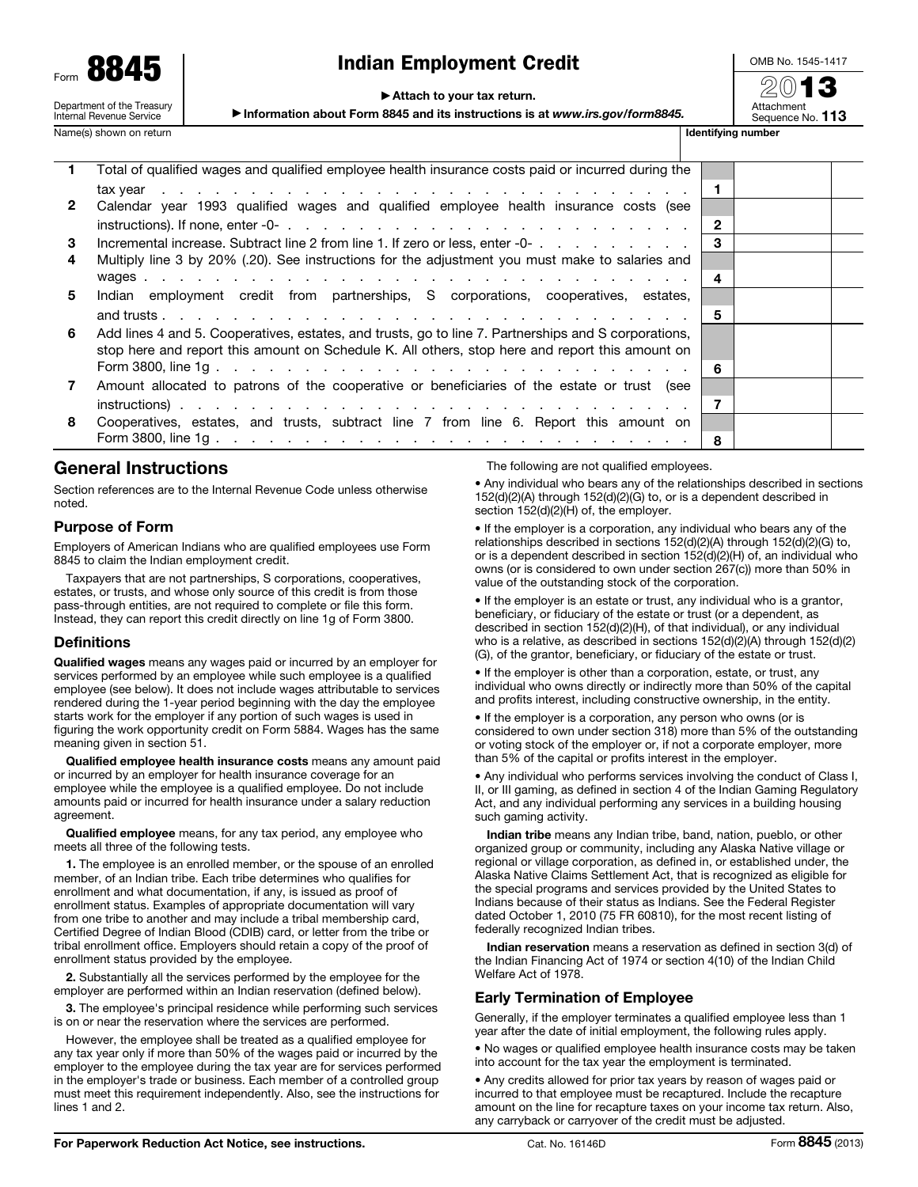| Form                                                   |  |  |  |  |  |  |  |  |  |  |
|--------------------------------------------------------|--|--|--|--|--|--|--|--|--|--|
| Department of the Treasury<br>Internal Revenue Service |  |  |  |  |  |  |  |  |  |  |

Name(s) shown on return

# Indian Employment Credit

OMB No. 1545-1417 20**13** 

### ▶ Attach to your tax return.

▶ Information about Form 8845 and its instructions is at *www.irs.gov/form8845.*

Sequence No. 113

|              | Total of qualified wages and qualified employee health insurance costs paid or incurred during the                                 |                |  |
|--------------|------------------------------------------------------------------------------------------------------------------------------------|----------------|--|
|              |                                                                                                                                    | -1             |  |
| $\mathbf{2}$ | Calendar year 1993 qualified wages and qualified employee health insurance costs (see                                              |                |  |
|              | instructions). If none, enter -0- $\ldots$ , $\ldots$ , $\ldots$ , $\ldots$ , $\ldots$ , $\ldots$ , $\ldots$ , $\ldots$ , $\ldots$ | $\mathbf{2}$   |  |
| 3            | Incremental increase. Subtract line 2 from line 1. If zero or less, enter -0-                                                      | 3              |  |
| 4            | Multiply line 3 by 20% (.20). See instructions for the adjustment you must make to salaries and                                    |                |  |
|              |                                                                                                                                    | 4              |  |
| 5            | Indian employment credit from partnerships, S corporations, cooperatives, estates,                                                 |                |  |
|              |                                                                                                                                    | -5             |  |
| 6            | Add lines 4 and 5. Cooperatives, estates, and trusts, go to line 7. Partnerships and S corporations,                               |                |  |
|              | stop here and report this amount on Schedule K. All others, stop here and report this amount on                                    |                |  |
|              |                                                                                                                                    | 6              |  |
| 7            | Amount allocated to patrons of the cooperative or beneficiaries of the estate or trust (see                                        |                |  |
|              |                                                                                                                                    | $\overline{7}$ |  |
| 8            | Cooperatives, estates, and trusts, subtract line 7 from line 6. Report this amount on                                              |                |  |
|              |                                                                                                                                    | -8             |  |
|              |                                                                                                                                    |                |  |

## General Instructions

Section references are to the Internal Revenue Code unless otherwise noted.

## Purpose of Form

Employers of American Indians who are qualified employees use Form 8845 to claim the Indian employment credit.

Taxpayers that are not partnerships, S corporations, cooperatives, estates, or trusts, and whose only source of this credit is from those pass-through entities, are not required to complete or file this form. Instead, they can report this credit directly on line 1g of Form 3800.

## **Definitions**

Qualified wages means any wages paid or incurred by an employer for services performed by an employee while such employee is a qualified employee (see below). It does not include wages attributable to services rendered during the 1-year period beginning with the day the employee starts work for the employer if any portion of such wages is used in figuring the work opportunity credit on Form 5884. Wages has the same meaning given in section 51.

Qualified employee health insurance costs means any amount paid or incurred by an employer for health insurance coverage for an employee while the employee is a qualified employee. Do not include amounts paid or incurred for health insurance under a salary reduction agreement.

Qualified employee means, for any tax period, any employee who meets all three of the following tests.

1. The employee is an enrolled member, or the spouse of an enrolled member, of an Indian tribe. Each tribe determines who qualifies for enrollment and what documentation, if any, is issued as proof of enrollment status. Examples of appropriate documentation will vary from one tribe to another and may include a tribal membership card, Certified Degree of Indian Blood (CDIB) card, or letter from the tribe or tribal enrollment office. Employers should retain a copy of the proof of enrollment status provided by the employee.

2. Substantially all the services performed by the employee for the employer are performed within an Indian reservation (defined below).

3. The employee's principal residence while performing such services is on or near the reservation where the services are performed.

However, the employee shall be treated as a qualified employee for any tax year only if more than 50% of the wages paid or incurred by the employer to the employee during the tax year are for services performed in the employer's trade or business. Each member of a controlled group must meet this requirement independently. Also, see the instructions for lines 1 and 2.

The following are not qualified employees.

• Any individual who bears any of the relationships described in sections 152(d)(2)(A) through 152(d)(2)(G) to, or is a dependent described in section 152(d)(2)(H) of, the employer.

• If the employer is a corporation, any individual who bears any of the relationships described in sections 152(d)(2)(A) through 152(d)(2)(G) to, or is a dependent described in section 152(d)(2)(H) of, an individual who owns (or is considered to own under section 267(c)) more than 50% in value of the outstanding stock of the corporation.

• If the employer is an estate or trust, any individual who is a grantor, beneficiary, or fiduciary of the estate or trust (or a dependent, as described in section 152(d)(2)(H), of that individual), or any individual who is a relative, as described in sections  $152(d)(2)(A)$  through  $152(d)(2)$ (G), of the grantor, beneficiary, or fiduciary of the estate or trust.

• If the employer is other than a corporation, estate, or trust, any individual who owns directly or indirectly more than 50% of the capital and profits interest, including constructive ownership, in the entity.

• If the employer is a corporation, any person who owns (or is considered to own under section 318) more than 5% of the outstanding or voting stock of the employer or, if not a corporate employer, more than 5% of the capital or profits interest in the employer.

• Any individual who performs services involving the conduct of Class I, II, or III gaming, as defined in section 4 of the Indian Gaming Regulatory Act, and any individual performing any services in a building housing such gaming activity.

Indian tribe means any Indian tribe, band, nation, pueblo, or other organized group or community, including any Alaska Native village or regional or village corporation, as defined in, or established under, the Alaska Native Claims Settlement Act, that is recognized as eligible for the special programs and services provided by the United States to Indians because of their status as Indians. See the Federal Register dated October 1, 2010 (75 FR 60810), for the most recent listing of federally recognized Indian tribes.

Indian reservation means a reservation as defined in section 3(d) of the Indian Financing Act of 1974 or section 4(10) of the Indian Child Welfare Act of 1978.

## Early Termination of Employee

Generally, if the employer terminates a qualified employee less than 1 year after the date of initial employment, the following rules apply.

• No wages or qualified employee health insurance costs may be taken into account for the tax year the employment is terminated.

• Any credits allowed for prior tax years by reason of wages paid or incurred to that employee must be recaptured. Include the recapture amount on the line for recapture taxes on your income tax return. Also, any carryback or carryover of the credit must be adjusted.